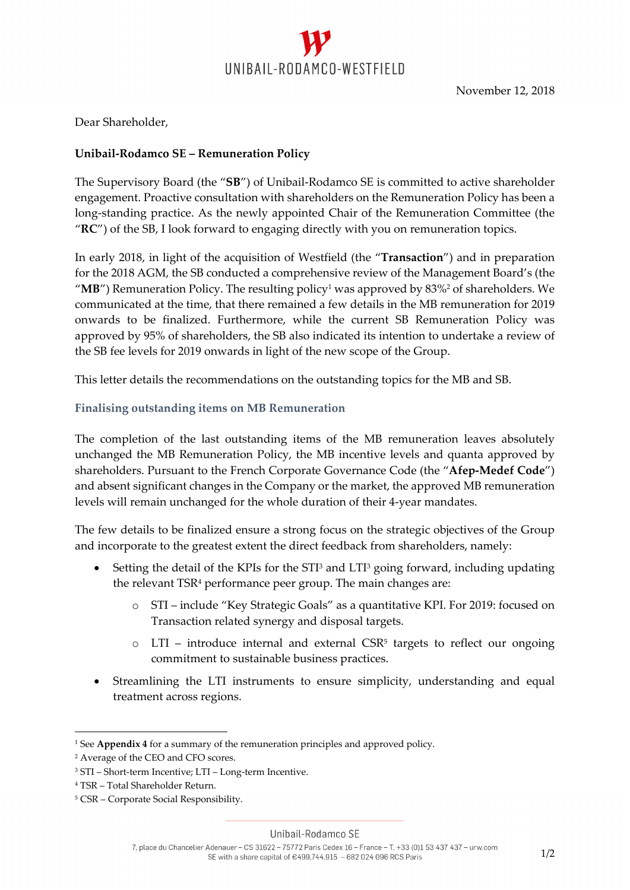

Dear Shareholder,

### **Unibail‐Rodamco SE – Remuneration Policy**

The Supervisory Board (the "**SB**") of Unibail‐Rodamco SE is committed to active shareholder engagement. Proactive consultation with shareholders on the Remuneration Policy has been a long-standing practice. As the newly appointed Chair of the Remuneration Committee (the "**RC**") of the SB, I look forward to engaging directly with you on remuneration topics.

In early 2018, in light of the acquisition of Westfield (the "**Transaction**") and in preparation for the 2018 AGM, the SB conducted a comprehensive review of the Management Board's (the "MB") Remuneration Policy. The resulting policy<sup>1</sup> was approved by 83%<sup>2</sup> of shareholders. We communicated at the time, that there remained a few details in the MB remuneration for 2019 onwards to be finalized. Furthermore, while the current SB Remuneration Policy was approved by 95% of shareholders, the SB also indicated its intention to undertake a review of the SB fee levels for 2019 onwards in light of the new scope of the Group.

This letter details the recommendations on the outstanding topics for the MB and SB.

### **Finalising outstanding items on MB Remuneration**

The completion of the last outstanding items of the MB remuneration leaves absolutely unchanged the MB Remuneration Policy, the MB incentive levels and quanta approved by shareholders. Pursuant to the French Corporate Governance Code (the "**Afep‐Medef Code**") and absent significant changes in the Company or the market, the approved MB remuneration levels will remain unchanged for the whole duration of their 4‐year mandates.

The few details to be finalized ensure a strong focus on the strategic objectives of the Group and incorporate to the greatest extent the direct feedback from shareholders, namely:

- Setting the detail of the KPIs for the STI<sup>3</sup> and LTI<sup>3</sup> going forward, including updating the relevant TSR<sup>4</sup> performance peer group. The main changes are:
	- o STI include "Key Strategic Goals" as a quantitative KPI. For 2019: focused on Transaction related synergy and disposal targets.
	- $\circ$  LTI introduce internal and external CSR<sup>5</sup> targets to reflect our ongoing commitment to sustainable business practices.
- Streamlining the LTI instruments to ensure simplicity, understanding and equal treatment across regions.

-

<sup>1</sup> See **Appendix 4** for a summary of the remuneration principles and approved policy.

<sup>2</sup> Average of the CEO and CFO scores.

<sup>&</sup>lt;sup>3</sup> STI – Short-term Incentive; LTI – Long-term Incentive.

<sup>4</sup> TSR – Total Shareholder Return.

<sup>5</sup> CSR – Corporate Social Responsibility.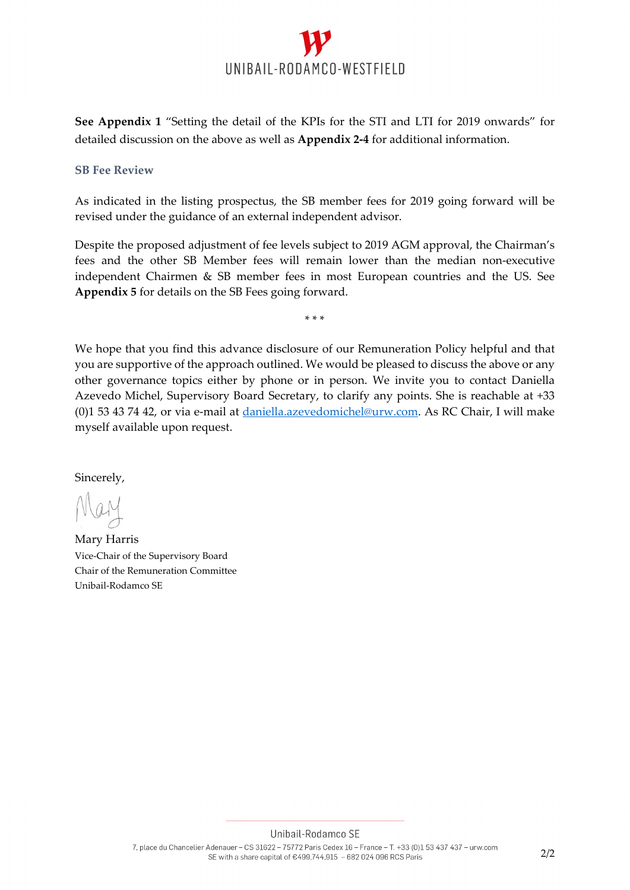

**See Appendix 1** "Setting the detail of the KPIs for the STI and LTI for 2019 onwards" for detailed discussion on the above as well as **Appendix 2‐4** for additional information.

#### **SB Fee Review**

As indicated in the listing prospectus, the SB member fees for 2019 going forward will be revised under the guidance of an external independent advisor.

Despite the proposed adjustment of fee levels subject to 2019 AGM approval, the Chairman's fees and the other SB Member fees will remain lower than the median non-executive independent Chairmen & SB member fees in most European countries and the US. See **Appendix 5** for details on the SB Fees going forward.

\* \* \*

We hope that you find this advance disclosure of our Remuneration Policy helpful and that you are supportive of the approach outlined. We would be pleased to discuss the above or any other governance topics either by phone or in person. We invite you to contact Daniella Azevedo Michel, Supervisory Board Secretary, to clarify any points. She is reachable at +33 (0)1 53 43 74 42, or via e‐mail at daniella.azevedomichel@urw.com. As RC Chair, I will make myself available upon request.

Sincerely,

Mary Harris Vice‐Chair of the Supervisory Board Chair of the Remuneration Committee Unibail‐Rodamco SE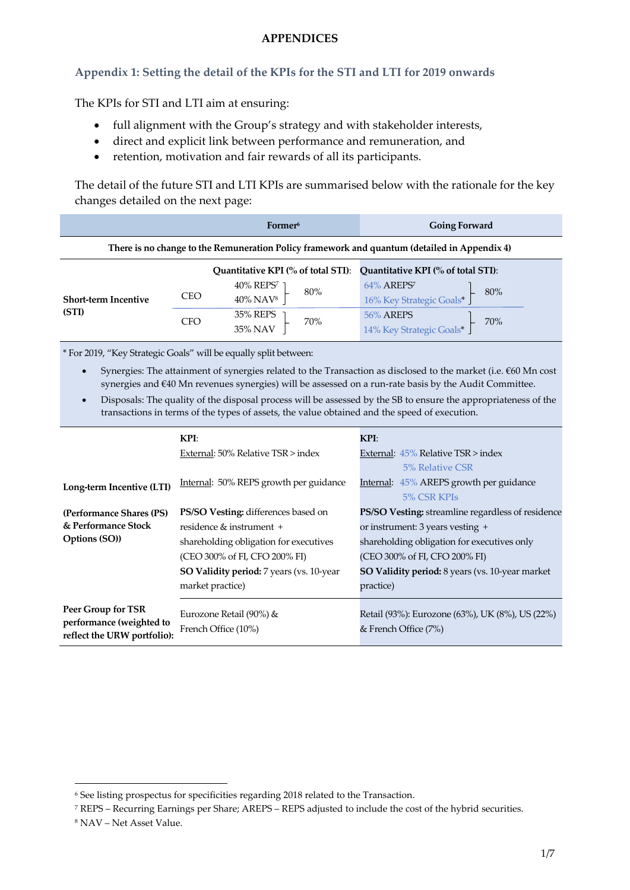#### **APPENDICES**

## **Appendix 1: Setting the detail of the KPIs for the STI and LTI for 2019 onwards**

The KPIs for STI and LTI aim at ensuring:

- full alignment with the Group's strategy and with stakeholder interests,
- direct and explicit link between performance and remuneration, and
- retention, motivation and fair rewards of all its participants.

The detail of the future STI and LTI KPIs are summarised below with the rationale for the key changes detailed on the next page:

|                                                                                              |            | Former <sup>6</sup>                                                   | <b>Going Forward</b>                                      |  |
|----------------------------------------------------------------------------------------------|------------|-----------------------------------------------------------------------|-----------------------------------------------------------|--|
| There is no change to the Remuneration Policy framework and quantum (detailed in Appendix 4) |            |                                                                       |                                                           |  |
|                                                                                              |            | Quantitative KPI (% of total STI): Quantitative KPI (% of total STI): |                                                           |  |
| <b>Short-term Incentive</b><br>(STI)                                                         | <b>CEO</b> | 40% REPS <sup>7</sup><br>80%<br>$40\%$ NAV <sup>8</sup>               | 64% AREPS <sup>7</sup><br>16% Key Strategic Goals*<br>80% |  |
|                                                                                              | <b>CFO</b> | 35% REPS<br>70%<br>35% NAV                                            | 56% AREPS<br>14% Key Strategic Goals*<br>70%              |  |

\* For 2019, "Key Strategic Goals" will be equally split between:

- Synergies: The attainment of synergies related to the Transaction as disclosed to the market (i.e. €60 Mn cost synergies and €40 Mn revenues synergies) will be assessed on a run-rate basis by the Audit Committee.
- Disposals: The quality of the disposal process will be assessed by the SB to ensure the appropriateness of the transactions in terms of the types of assets, the value obtained and the speed of execution.

|                                                                               | KPI:                                           | KPI:                                                                    |  |
|-------------------------------------------------------------------------------|------------------------------------------------|-------------------------------------------------------------------------|--|
|                                                                               | External: 50% Relative TSR > index             | External: $45\%$ Relative TSR $>$ index                                 |  |
|                                                                               |                                                | 5% Relative CSR                                                         |  |
| Long-term Incentive (LTI)                                                     | Internal: 50% REPS growth per guidance         | Internal: 45% AREPS growth per guidance                                 |  |
|                                                                               |                                                | 5% CSR KPIs                                                             |  |
| (Performance Shares (PS)                                                      | <b>PS/SO Vesting:</b> differences based on     | <b>PS/SO Vesting:</b> streamline regardless of residence                |  |
| & Performance Stock                                                           | residence $\&$ instrument $+$                  | or instrument: 3 years vesting +                                        |  |
| Options (SO))                                                                 | shareholding obligation for executives         | shareholding obligation for executives only                             |  |
|                                                                               | (CEO 300% of FI, CFO 200% FI)                  | (CEO 300% of FI, CFO 200% FI)                                           |  |
|                                                                               | SO Validity period: 7 years (vs. 10-year       | SO Validity period: 8 years (vs. 10-year market                         |  |
|                                                                               | market practice)                               | practice)                                                               |  |
| Peer Group for TSR<br>performance (weighted to<br>reflect the URW portfolio): | Eurozone Retail (90%) &<br>French Office (10%) | Retail (93%): Eurozone (63%), UK (8%), US (22%)<br>& French Office (7%) |  |

<sup>8</sup> NAV – Net Asset Value.

 $\overline{a}$ 

<sup>6</sup> See listing prospectus for specificities regarding 2018 related to the Transaction.

<sup>7</sup> REPS – Recurring Earnings per Share; AREPS – REPS adjusted to include the cost of the hybrid securities.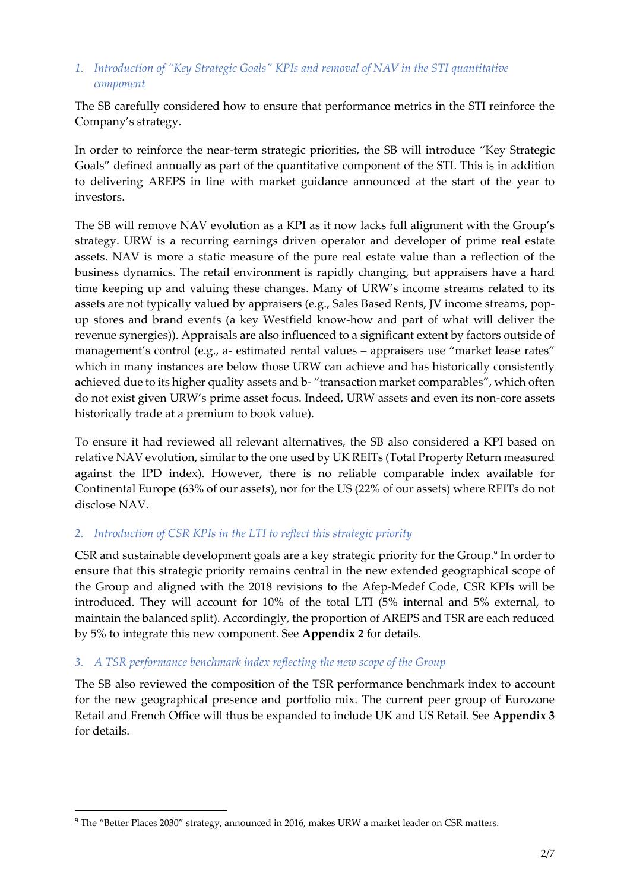## *1. Introduction of "Key Strategic Goals" KPIs and removal of NAV in the STI quantitative component*

The SB carefully considered how to ensure that performance metrics in the STI reinforce the Company's strategy.

In order to reinforce the near-term strategic priorities, the SB will introduce "Key Strategic Goals" defined annually as part of the quantitative component of the STI. This is in addition to delivering AREPS in line with market guidance announced at the start of the year to investors.

The SB will remove NAV evolution as a KPI as it now lacks full alignment with the Group's strategy. URW is a recurring earnings driven operator and developer of prime real estate assets. NAV is more a static measure of the pure real estate value than a reflection of the business dynamics. The retail environment is rapidly changing, but appraisers have a hard time keeping up and valuing these changes. Many of URW's income streams related to its assets are not typically valued by appraisers (e.g., Sales Based Rents, JV income streams, popup stores and brand events (a key Westfield know‐how and part of what will deliver the revenue synergies)). Appraisals are also influenced to a significant extent by factors outside of management's control (e.g., a‐ estimated rental values – appraisers use "market lease rates" which in many instances are below those URW can achieve and has historically consistently achieved due to its higher quality assets and b‐ "transaction market comparables", which often do not exist given URW's prime asset focus. Indeed, URW assets and even its non‐core assets historically trade at a premium to book value).

To ensure it had reviewed all relevant alternatives, the SB also considered a KPI based on relative NAV evolution, similar to the one used by UK REITs (Total Property Return measured against the IPD index). However, there is no reliable comparable index available for Continental Europe (63% of our assets), nor for the US (22% of our assets) where REITs do not disclose NAV.

## *2. Introduction of CSR KPIs in the LTI to reflect this strategic priority*

CSR and sustainable development goals are a key strategic priority for the Group.<sup>9</sup> In order to ensure that this strategic priority remains central in the new extended geographical scope of the Group and aligned with the 2018 revisions to the Afep-Medef Code, CSR KPIs will be introduced. They will account for 10% of the total LTI (5% internal and 5% external, to maintain the balanced split). Accordingly, the proportion of AREPS and TSR are each reduced by 5% to integrate this new component. See **Appendix 2** for details.

## *3. A TSR performance benchmark index reflecting the new scope of the Group*

The SB also reviewed the composition of the TSR performance benchmark index to account for the new geographical presence and portfolio mix. The current peer group of Eurozone Retail and French Office will thus be expanded to include UK and US Retail. See **Appendix 3** for details.

1

<sup>9</sup> The "Better Places 2030" strategy, announced in 2016, makes URW a market leader on CSR matters.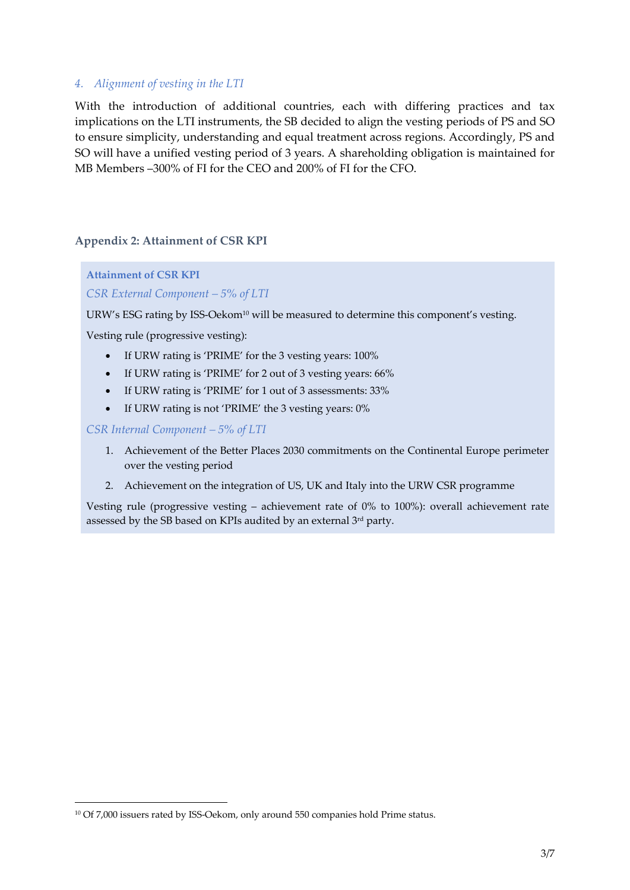#### *4. Alignment of vesting in the LTI*

With the introduction of additional countries, each with differing practices and tax implications on the LTI instruments, the SB decided to align the vesting periods of PS and SO to ensure simplicity, understanding and equal treatment across regions. Accordingly, PS and SO will have a unified vesting period of 3 years. A shareholding obligation is maintained for MB Members –300% of FI for the CEO and 200% of FI for the CFO.

#### **Appendix 2: Attainment of CSR KPI**

**Attainment of CSR KPI**  *CSR External Component – 5% of LTI*

URW's ESG rating by ISS-Oekom<sup>10</sup> will be measured to determine this component's vesting.

Vesting rule (progressive vesting):

- If URW rating is 'PRIME' for the 3 vesting years: 100%
- If URW rating is 'PRIME' for 2 out of 3 vesting years: 66%
- If URW rating is 'PRIME' for 1 out of 3 assessments: 33%
- If URW rating is not 'PRIME' the 3 vesting years: 0%

*CSR Internal Component – 5% of LTI*

1

- 1. Achievement of the Better Places 2030 commitments on the Continental Europe perimeter over the vesting period
- 2. Achievement on the integration of US, UK and Italy into the URW CSR programme

Vesting rule (progressive vesting – achievement rate of 0% to 100%): overall achievement rate assessed by the SB based on KPIs audited by an external 3rd party.

<sup>&</sup>lt;sup>10</sup> Of 7,000 issuers rated by ISS-Oekom, only around 550 companies hold Prime status.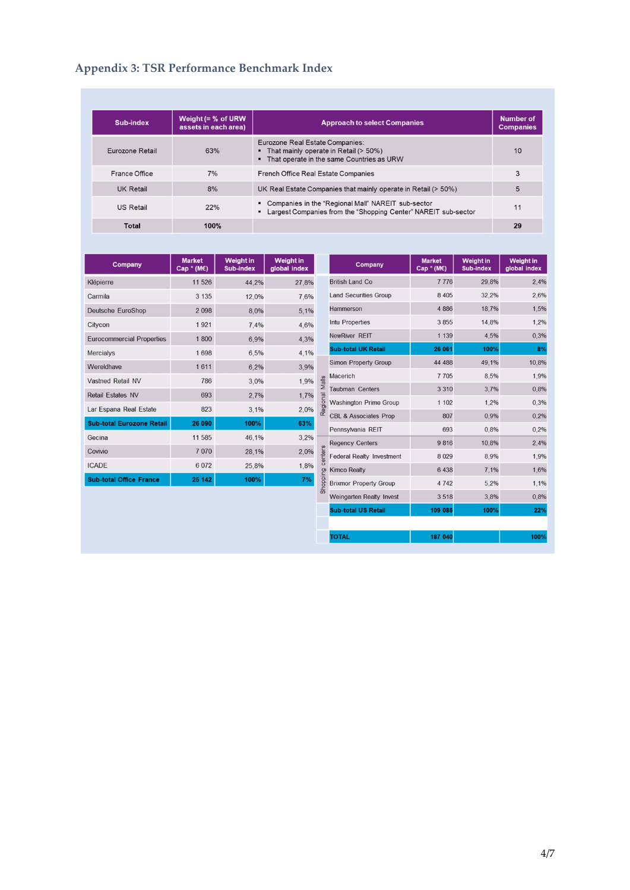# **Appendix 3: TSR Performance Benchmark Index**

| Sub-index        | Weight $(= % of URW)$<br>assets in each area) | <b>Approach to select Companies</b>                                                                                       | Number of<br><b>Companies</b> |
|------------------|-----------------------------------------------|---------------------------------------------------------------------------------------------------------------------------|-------------------------------|
| Eurozone Retail  | 63%                                           | Eurozone Real Estate Companies:<br>• That mainly operate in Retail (> 50%)<br>• That operate in the same Countries as URW | 10                            |
| France Office    | 7%                                            | <b>French Office Real Estate Companies</b>                                                                                | 3                             |
| UK Retail        | 8%                                            | UK Real Estate Companies that mainly operate in Retail (> 50%)                                                            | 5                             |
| <b>US Retail</b> | 22%                                           | • Companies in the "Regional Mall" NAREIT sub-sector<br>• Largest Companies from the "Shopping Center" NAREIT sub-sector  | 11                            |
| <b>Total</b>     | 100%                                          |                                                                                                                           | 29                            |

| Company                          | <b>Market</b><br>Cap $*(M\epsilon)$ | <b>Weight in</b><br><b>Sub-index</b> | <b>Weight in</b><br>global index |
|----------------------------------|-------------------------------------|--------------------------------------|----------------------------------|
| Klépierre                        | 11 526                              | 44,2%                                | 27,8%                            |
| Carmila                          | 3 1 3 5                             | 12,0%                                | 7.6%                             |
| <b>Deutsche EuroShop</b>         | 2 0 9 8                             | 8,0%                                 | 5,1%                             |
| Citycon                          | 1921                                | 7.4%                                 | 4,6%                             |
| <b>Eurocommercial Properties</b> | 1 800                               | 6,9%                                 | 4.3%                             |
| <b>Mercialys</b>                 | 1698                                | 6,5%                                 | 4.1%                             |
| Wereldhave                       | 1611                                | 6,2%                                 | 3,9%                             |
| Vastned Retail NV                | 786                                 | 3,0%                                 | 1,9%                             |
| <b>Retail Estates NV</b>         | 693                                 | 2,7%                                 | 1.7%                             |
| Lar Espana Real Estate           | 823                                 | 3,1%                                 | 2,0%                             |
| <b>Sub-total Eurozone Retail</b> | 26 090                              | 100%                                 | 63%                              |
| Gecina                           | 11 585                              | 46,1%                                | 3,2%                             |
| Covivio                          | 7 0 7 0                             | 28,1%                                | 2,0%                             |
| <b>ICADE</b>                     | 6 0 7 2                             | 25,8%                                | 1.8%                             |
| <b>Sub-total Office France</b>   | 25 142                              | 100%                                 | 7%                               |

| Company                                           | <b>Market</b><br>$Cap^*(M\epsilon)$ | <b>Weight in</b><br><b>Sub-index</b> | <b>Weight in</b><br>global index |
|---------------------------------------------------|-------------------------------------|--------------------------------------|----------------------------------|
| <b>British Land Co</b>                            | 7776                                | 29,8%                                | 2.4%                             |
| <b>Land Securities Group</b>                      | 8 4 0 5                             | 32,2%                                | 2,6%                             |
| Hammerson                                         | 4 8 8 6                             | 18,7%                                | 1,5%                             |
| Intu Properties                                   | 3855                                | 14,8%                                | 1,2%                             |
| <b>NewRiver REIT</b>                              | 1 1 3 9                             | 4.5%                                 | 0,3%                             |
| <b>Sub-total UK Retail</b>                        | 26 061                              | 100%                                 | 8%                               |
| <b>Simon Property Group</b>                       | 44 488                              | 49,1%                                | 10,8%                            |
| Macerich                                          | 7705                                | 8,5%                                 | 1,9%                             |
| <b>Taubman Centers</b>                            | 3 3 1 0                             | 3,7%                                 | 0,8%                             |
| <b>Washington Prime Group</b>                     | 1 1 0 2                             | 1,2%                                 | 0.3%                             |
| <b>CBL &amp; Associates Prop</b>                  | 807                                 | 0,9%                                 | 0,2%                             |
| Pennsylvania REIT                                 | 693                                 | 0.8%                                 | 0.2%                             |
| <b>Regency Centers</b>                            | 9816                                | 10,8%                                | 2,4%                             |
| $\frac{1}{2}$<br><b>Federal Realty Investment</b> | 8 0 2 9                             | 8,9%                                 | 1,9%                             |
| <b>Kimco Realty</b><br>ŋ                          | 6 4 38                              | 7,1%                                 | 1,6%                             |
| <b>Brixmor Property Group</b>                     | 4 7 4 2                             | 5,2%                                 | 1,1%                             |
| Weingarten Realty Invest                          | 3518                                | 3,8%                                 | 0,8%                             |
| <b>Sub-total US Retail</b>                        | 109 086                             | 100%                                 | 22%                              |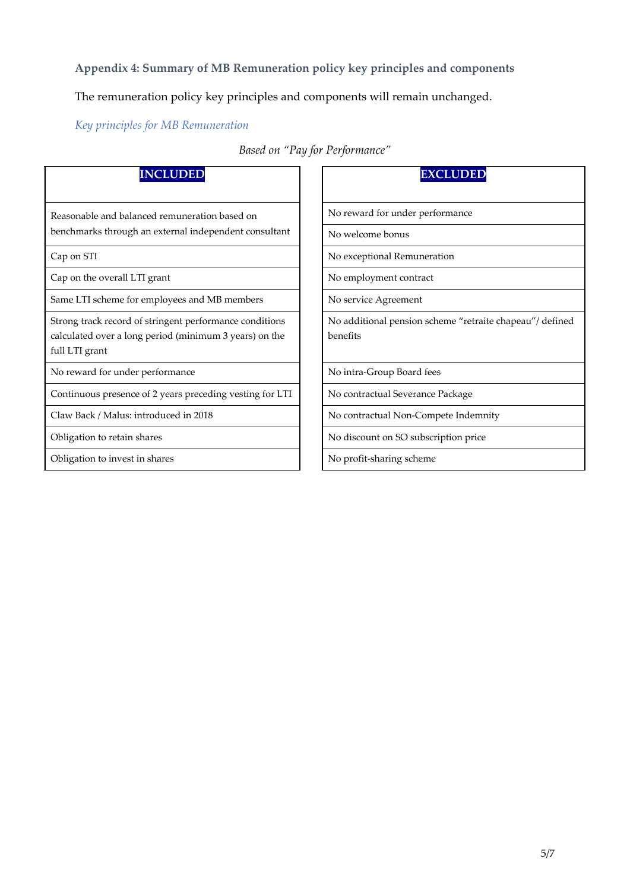## **Appendix 4: Summary of MB Remuneration policy key principles and components**

The remuneration policy key principles and components will remain unchanged.

*Key principles for MB Remuneration*

| <b>INCLUDED</b>                                                                                                                     | <b>EXCLUDED</b>                                                     |
|-------------------------------------------------------------------------------------------------------------------------------------|---------------------------------------------------------------------|
| Reasonable and balanced remuneration based on                                                                                       | No reward for under performance                                     |
| benchmarks through an external independent consultant                                                                               | No welcome bonus                                                    |
| Cap on STI                                                                                                                          | No exceptional Remuneration                                         |
| Cap on the overall LTI grant                                                                                                        | No employment contract                                              |
| Same LTI scheme for employees and MB members                                                                                        | No service Agreement                                                |
| Strong track record of stringent performance conditions<br>calculated over a long period (minimum 3 years) on the<br>full LTI grant | No additional pension scheme "retraite chapeau"/defined<br>benefits |
| No reward for under performance                                                                                                     | No intra-Group Board fees                                           |
| Continuous presence of 2 years preceding vesting for LTI                                                                            | No contractual Severance Package                                    |
| Claw Back / Malus: introduced in 2018                                                                                               | No contractual Non-Compete Indemnity                                |
| Obligation to retain shares                                                                                                         | No discount on SO subscription price                                |
| Obligation to invest in shares                                                                                                      | No profit-sharing scheme                                            |

*Based on "Pay for Performance"*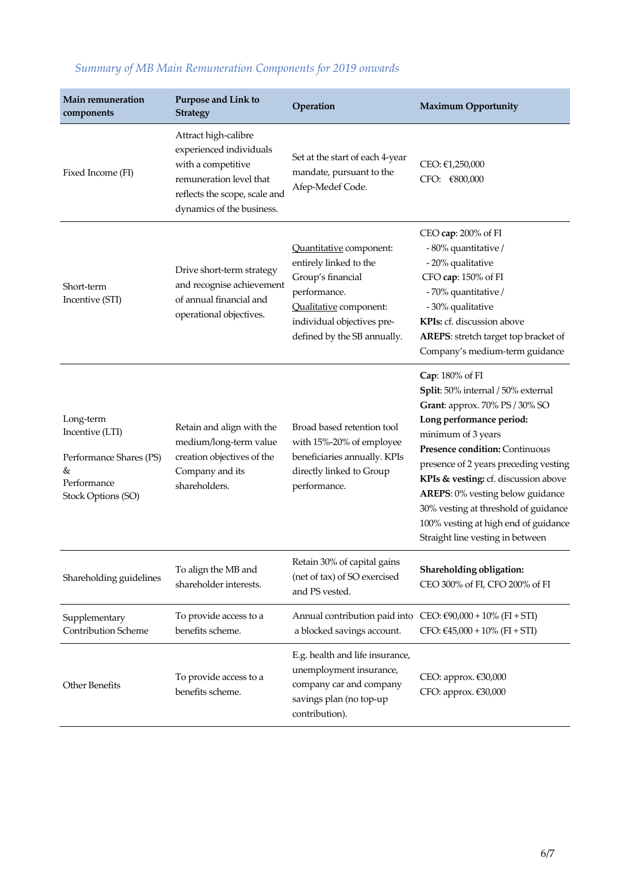| Main remuneration<br>components                                                                   | <b>Purpose and Link to</b><br><b>Strategy</b>                                                                                                                  | Operation                                                                                                                                                                     | <b>Maximum Opportunity</b>                                                                                                                                                                                                                                                                                                                                                                                           |
|---------------------------------------------------------------------------------------------------|----------------------------------------------------------------------------------------------------------------------------------------------------------------|-------------------------------------------------------------------------------------------------------------------------------------------------------------------------------|----------------------------------------------------------------------------------------------------------------------------------------------------------------------------------------------------------------------------------------------------------------------------------------------------------------------------------------------------------------------------------------------------------------------|
| Fixed Income (FI)                                                                                 | Attract high-calibre<br>experienced individuals<br>with a competitive<br>remuneration level that<br>reflects the scope, scale and<br>dynamics of the business. | Set at the start of each 4-year<br>mandate, pursuant to the<br>Afep-Medef Code.                                                                                               | CEO: €1,250,000<br>CFO: €800,000                                                                                                                                                                                                                                                                                                                                                                                     |
| Short-term<br>Incentive (STI)                                                                     | Drive short-term strategy<br>and recognise achievement<br>of annual financial and<br>operational objectives.                                                   | Quantitative component:<br>entirely linked to the<br>Group's financial<br>performance.<br>Qualitative component:<br>individual objectives pre-<br>defined by the SB annually. | CEO cap: 200% of FI<br>- 80% quantitative /<br>- 20% qualitative<br>CFO cap: 150% of FI<br>- 70% quantitative /<br>- 30% qualitative<br>KPIs: cf. discussion above<br>AREPS: stretch target top bracket of<br>Company's medium-term guidance                                                                                                                                                                         |
| Long-term<br>Incentive (LTI)<br>Performance Shares (PS)<br>&<br>Performance<br>Stock Options (SO) | Retain and align with the<br>medium/long-term value<br>creation objectives of the<br>Company and its<br>shareholders.                                          | Broad based retention tool<br>with 15%-20% of employee<br>beneficiaries annually. KPIs<br>directly linked to Group<br>performance.                                            | Cap: 180% of FI<br>Split: 50% internal / 50% external<br>Grant: approx. 70% PS / 30% SO<br>Long performance period:<br>minimum of 3 years<br>Presence condition: Continuous<br>presence of 2 years preceding vesting<br>KPIs & vesting: cf. discussion above<br>AREPS: 0% vesting below guidance<br>30% vesting at threshold of guidance<br>100% vesting at high end of guidance<br>Straight line vesting in between |
| Shareholding guidelines                                                                           | To align the MB and<br>shareholder interests.                                                                                                                  | Retain 30% of capital gains<br>(net of tax) of SO exercised<br>and PS vested.                                                                                                 | Shareholding obligation:<br>CEO 300% of FI, CFO 200% of FI                                                                                                                                                                                                                                                                                                                                                           |
| Supplementary<br>Contribution Scheme                                                              | To provide access to a<br>benefits scheme.                                                                                                                     | Annual contribution paid into $CEO: €90,000 + 10% (FI + STI)$<br>a blocked savings account.                                                                                   | CFO: €45,000 + 10% (FI + STI)                                                                                                                                                                                                                                                                                                                                                                                        |
| Other Benefits                                                                                    | To provide access to a<br>benefits scheme.                                                                                                                     | E.g. health and life insurance,<br>unemployment insurance,<br>company car and company<br>savings plan (no top-up<br>contribution).                                            | CEO: approx. €30,000<br>CFO: approx. €30,000                                                                                                                                                                                                                                                                                                                                                                         |

# *Summary of MB Main Remuneration Components for 2019 onwards*